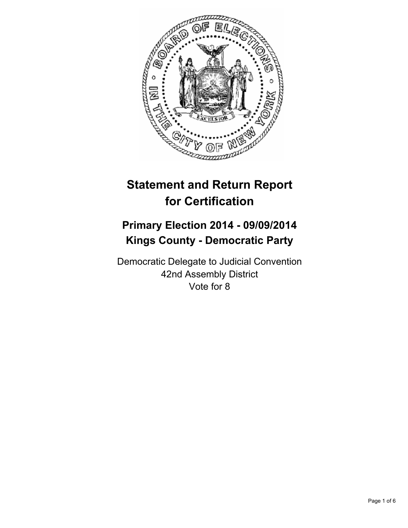

# **Statement and Return Report for Certification**

## **Primary Election 2014 - 09/09/2014 Kings County - Democratic Party**

Democratic Delegate to Judicial Convention 42nd Assembly District Vote for 8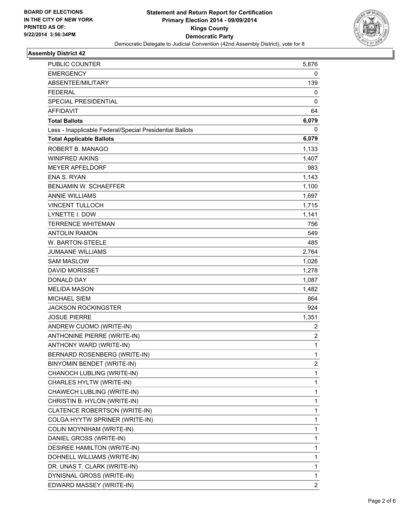

### **Assembly District 42**

| PUBLIC COUNTER                                           | 5,876          |
|----------------------------------------------------------|----------------|
| <b>EMERGENCY</b>                                         | 0              |
| ABSENTEE/MILITARY                                        | 139            |
| <b>FEDERAL</b>                                           | 0              |
| SPECIAL PRESIDENTIAL                                     | 0              |
| <b>AFFIDAVIT</b>                                         | 64             |
| <b>Total Ballots</b>                                     | 6,079          |
| Less - Inapplicable Federal/Special Presidential Ballots | 0              |
| <b>Total Applicable Ballots</b>                          | 6,079          |
| ROBERT B. MANAGO                                         | 1,133          |
| <b>WINIFRED AIKINS</b>                                   | 1,407          |
| <b>MEYER APFELDORF</b>                                   | 983            |
| <b>ENA S. RYAN</b>                                       | 1,143          |
| BENJAMIN W. SCHAEFFER                                    | 1,100          |
| <b>ANNIE WILLIAMS</b>                                    | 1,697          |
| <b>VINCENT TULLOCH</b>                                   | 1,715          |
| <b>LYNETTE I. DOW</b>                                    | 1,141          |
| <b>TERRENCE WHITEMAN</b>                                 | 756            |
| <b>ANTOLIN RAMON</b>                                     | 549            |
| W. BARTON-STEELE                                         | 485            |
| <b>JUMAANE WILLIAMS</b>                                  | 2,764          |
| <b>SAM MASLOW</b>                                        | 1,026          |
| DAVID MORISSET                                           | 1,278          |
| DONALD DAY                                               | 1,087          |
| <b>MELIDA MASON</b>                                      | 1,482          |
| <b>MICHAEL SIEM</b>                                      | 864            |
| JACKSON ROCKINGSTER                                      | 924            |
| <b>JOSUE PIERRE</b>                                      | 1,351          |
| ANDREW CUOMO (WRITE-IN)                                  | 2              |
| ANTHONINE PIERRE (WRITE-IN)                              | $\overline{c}$ |
| ANTHONY WARD (WRITE-IN)                                  | 1              |
| BERNARD ROSENBERG (WRITE-IN)                             | $\mathbf{1}$   |
| BINYOMIN BENDET (WRITE-IN)                               | 2              |
| CHANOCH LUBLING (WRITE-IN)                               | 1              |
| CHARLES HYLTW (WRITE-IN)                                 | $\mathbf{1}$   |
| CHAWECH LUBLING (WRITE-IN)                               | 1              |
| CHRISTIN B. HYLON (WRITE-IN)                             | 1              |
| CLATENCE ROBERTSON (WRITE-IN)                            | $\mathbf{1}$   |
| COLGA HYYTW SPRINER (WRITE-IN)                           | 1              |
| COLIN MOYNIHAM (WRITE-IN)                                | 1              |
| DANIEL GROSS (WRITE-IN)                                  | $\mathbf{1}$   |
| DESIREE HAMILTON (WRITE-IN)                              | 1              |
| DOHNELL WILLIAMS (WRITE-IN)                              | 1              |
| DR. UNAS T. CLARK (WRITE-IN)                             | $\mathbf{1}$   |
| DYNISNAL GROSS (WRITE-IN)                                | 1              |
| EDWARD MASSEY (WRITE-IN)                                 | $\overline{2}$ |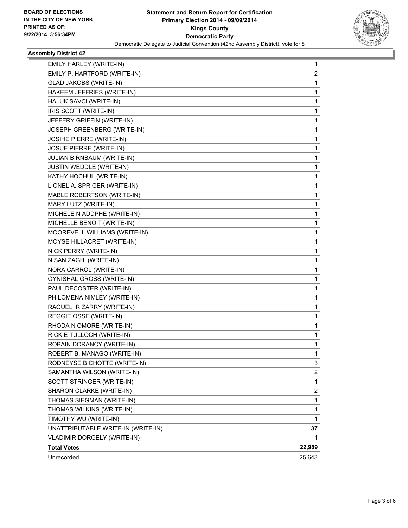

### **Assembly District 42**

| SHARON CLARKE (WRITE-IN)       | 2 |
|--------------------------------|---|
| SCOTT STRINGER (WRITE-IN)      | 1 |
| SAMANTHA WILSON (WRITE-IN)     | 2 |
| RODNEYSE BICHOTTE (WRITE-IN)   | 3 |
| ROBERT B. MANAGO (WRITE-IN)    | 1 |
| ROBAIN DORANCY (WRITE-IN)      | 1 |
| RICKIE TULLOCH (WRITE-IN)      | 1 |
| RHODA N OMORE (WRITE-IN)       | 1 |
| REGGIE OSSE (WRITE-IN)         | 1 |
| RAQUEL IRIZARRY (WRITE-IN)     | 1 |
| PHILOMENA NIMLEY (WRITE-IN)    | 1 |
| PAUL DECOSTER (WRITE-IN)       | 1 |
| OYNISHAL GROSS (WRITE-IN)      | 1 |
| NORA CARROL (WRITE-IN)         | 1 |
| NISAN ZAGHI (WRITE-IN)         | 1 |
| NICK PERRY (WRITE-IN)          | 1 |
| MOYSE HILLACRET (WRITE-IN)     | 1 |
| MOOREVELL WILLIAMS (WRITE-IN)  | 1 |
| MICHELLE BENOIT (WRITE-IN)     | 1 |
| MICHELE N ADDPHE (WRITE-IN)    | 1 |
| MARY LUTZ (WRITE-IN)           | 1 |
| MABLE ROBERTSON (WRITE-IN)     | 1 |
| LIONEL A. SPRIGER (WRITE-IN)   | 1 |
| KATHY HOCHUL (WRITE-IN)        | 1 |
| JUSTIN WEDDLE (WRITE-IN)       | 1 |
| JULIAN BIRNBAUM (WRITE-IN)     | 1 |
| <b>JOSUE PIERRE (WRITE-IN)</b> | 1 |
| JOSIHE PIERRE (WRITE-IN)       | 1 |
| JOSEPH GREENBERG (WRITE-IN)    | 1 |
| JEFFERY GRIFFIN (WRITE-IN)     | 1 |
| IRIS SCOTT (WRITE-IN)          | 1 |
| HALUK SAVCI (WRITE-IN)         | 1 |
| HAKEEM JEFFRIES (WRITE-IN)     | 1 |
| GLAD JAKOBS (WRITE-IN)         | 1 |
| EMILY P. HARTFORD (WRITE-IN)   | 2 |
| EMILY HARLEY (WRITE-IN)        | 1 |
|                                |   |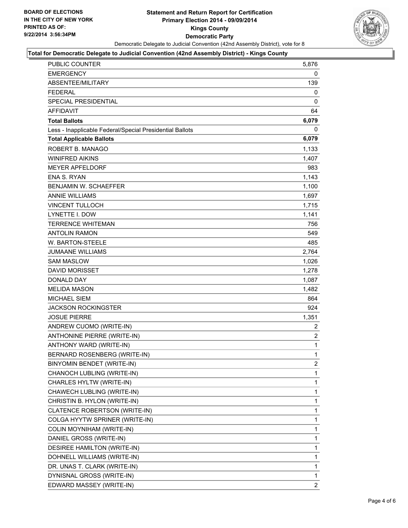

#### **Total for Democratic Delegate to Judicial Convention (42nd Assembly District) - Kings County**

| PUBLIC COUNTER                                           | 5,876          |
|----------------------------------------------------------|----------------|
| <b>EMERGENCY</b>                                         | 0              |
| ABSENTEE/MILITARY                                        | 139            |
| <b>FEDERAL</b>                                           | 0              |
| SPECIAL PRESIDENTIAL                                     | 0              |
| <b>AFFIDAVIT</b>                                         | 64             |
| <b>Total Ballots</b>                                     | 6,079          |
| Less - Inapplicable Federal/Special Presidential Ballots | 0              |
| <b>Total Applicable Ballots</b>                          | 6,079          |
| ROBERT B. MANAGO                                         | 1,133          |
| <b>WINIFRED AIKINS</b>                                   | 1,407          |
| <b>MEYER APFELDORF</b>                                   | 983            |
| <b>ENA S. RYAN</b>                                       | 1,143          |
| <b>BENJAMIN W. SCHAEFFER</b>                             | 1,100          |
| <b>ANNIE WILLIAMS</b>                                    | 1,697          |
| <b>VINCENT TULLOCH</b>                                   | 1,715          |
| LYNETTE I. DOW                                           | 1,141          |
| <b>TERRENCE WHITEMAN</b>                                 | 756            |
| ANTOLIN RAMON                                            | 549            |
| W. BARTON-STEELE                                         | 485            |
| <b>JUMAANE WILLIAMS</b>                                  | 2,764          |
| <b>SAM MASLOW</b>                                        | 1,026          |
| <b>DAVID MORISSET</b>                                    | 1,278          |
| <b>DONALD DAY</b>                                        | 1,087          |
| <b>MELIDA MASON</b>                                      | 1,482          |
| <b>MICHAEL SIEM</b>                                      | 864            |
| <b>JACKSON ROCKINGSTER</b>                               | 924            |
| <b>JOSUE PIERRE</b>                                      | 1,351          |
| ANDREW CUOMO (WRITE-IN)                                  | 2              |
| ANTHONINE PIERRE (WRITE-IN)                              | $\overline{c}$ |
| ANTHONY WARD (WRITE-IN)                                  | $\mathbf{1}$   |
| <b>BERNARD ROSENBERG (WRITE-IN)</b>                      | $\mathbf{1}$   |
| BINYOMIN BENDET (WRITE-IN)                               | 2              |
| CHANOCH LUBLING (WRITE-IN)                               | 1              |
| CHARLES HYLTW (WRITE-IN)                                 | 1              |
| CHAWECH LUBLING (WRITE-IN)                               | 1              |
| CHRISTIN B. HYLON (WRITE-IN)                             | 1              |
| CLATENCE ROBERTSON (WRITE-IN)                            | 1              |
| COLGA HYYTW SPRINER (WRITE-IN)                           | 1              |
| COLIN MOYNIHAM (WRITE-IN)                                | 1              |
| DANIEL GROSS (WRITE-IN)                                  | 1              |
| DESIREE HAMILTON (WRITE-IN)                              | 1              |
| DOHNELL WILLIAMS (WRITE-IN)                              | 1              |
| DR. UNAS T. CLARK (WRITE-IN)                             | 1              |
| DYNISNAL GROSS (WRITE-IN)                                | 1              |
| EDWARD MASSEY (WRITE-IN)                                 | 2              |
|                                                          |                |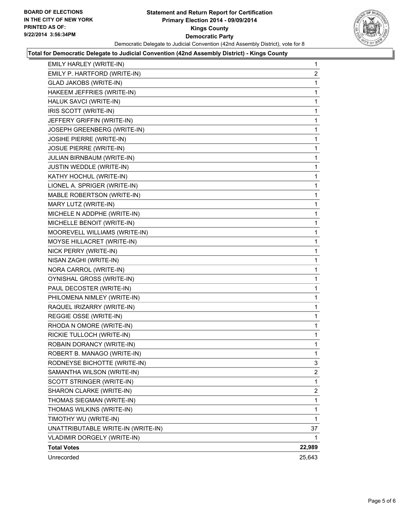

#### **Total for Democratic Delegate to Judicial Convention (42nd Assembly District) - Kings County**

| EMILY HARLEY (WRITE-IN)            | 1              |
|------------------------------------|----------------|
| EMILY P. HARTFORD (WRITE-IN)       | 2              |
| GLAD JAKOBS (WRITE-IN)             | 1              |
| HAKEEM JEFFRIES (WRITE-IN)         | 1              |
| HALUK SAVCI (WRITE-IN)             | 1              |
| IRIS SCOTT (WRITE-IN)              | 1              |
| JEFFERY GRIFFIN (WRITE-IN)         | 1              |
| JOSEPH GREENBERG (WRITE-IN)        | 1              |
| <b>JOSIHE PIERRE (WRITE-IN)</b>    | 1              |
| <b>JOSUE PIERRE (WRITE-IN)</b>     | 1              |
| JULIAN BIRNBAUM (WRITE-IN)         | 1              |
| JUSTIN WEDDLE (WRITE-IN)           | 1              |
| KATHY HOCHUL (WRITE-IN)            | 1              |
| LIONEL A. SPRIGER (WRITE-IN)       | 1              |
| MABLE ROBERTSON (WRITE-IN)         | 1              |
| MARY LUTZ (WRITE-IN)               | 1              |
| MICHELE N ADDPHE (WRITE-IN)        | 1              |
| MICHELLE BENOIT (WRITE-IN)         | 1              |
| MOOREVELL WILLIAMS (WRITE-IN)      | 1              |
| MOYSE HILLACRET (WRITE-IN)         | 1              |
| NICK PERRY (WRITE-IN)              | 1              |
| NISAN ZAGHI (WRITE-IN)             | 1              |
| NORA CARROL (WRITE-IN)             | 1              |
| OYNISHAL GROSS (WRITE-IN)          | 1              |
| PAUL DECOSTER (WRITE-IN)           | 1              |
| PHILOMENA NIMLEY (WRITE-IN)        | 1              |
| RAQUEL IRIZARRY (WRITE-IN)         | 1              |
| REGGIE OSSE (WRITE-IN)             | 1              |
| RHODA N OMORE (WRITE-IN)           | 1              |
| RICKIE TULLOCH (WRITE-IN)          | 1              |
| ROBAIN DORANCY (WRITE-IN)          | 1              |
| ROBERT B. MANAGO (WRITE-IN)        | 1              |
| RODNEYSE BICHOTTE (WRITE-IN)       | 3              |
| SAMANTHA WILSON (WRITE-IN)         | $\overline{2}$ |
| SCOTT STRINGER (WRITE-IN)          | 1              |
| SHARON CLARKE (WRITE-IN)           | 2              |
| THOMAS SIEGMAN (WRITE-IN)          | 1              |
| THOMAS WILKINS (WRITE-IN)          | 1              |
| TIMOTHY WU (WRITE-IN)              | $\mathbf{1}$   |
| UNATTRIBUTABLE WRITE-IN (WRITE-IN) | 37             |
| VLADIMIR DORGELY (WRITE-IN)        |                |
| <b>Total Votes</b>                 | 22,989         |
| Unrecorded                         | 25,643         |